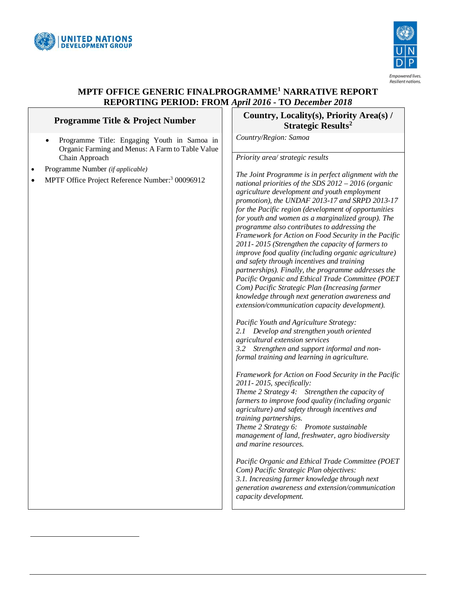

-



# **MPTF OFFICE GENERIC FINALPROGRAMME<sup>1</sup> NARRATIVE REPORT REPORTING PERIOD: FROM** *April 2016* **- TO** *December 2018*

| Programme Title & Project Number                                                                                  | Country, Locality(s), I<br><b>Strategic Ro</b>                                                                                                                                                                                                                                                                                                                                                                                                                                                                                                                                                                                                                                                                                                                                                                                                                                                                                                                                                                                                                                                                                                                                                                       |
|-------------------------------------------------------------------------------------------------------------------|----------------------------------------------------------------------------------------------------------------------------------------------------------------------------------------------------------------------------------------------------------------------------------------------------------------------------------------------------------------------------------------------------------------------------------------------------------------------------------------------------------------------------------------------------------------------------------------------------------------------------------------------------------------------------------------------------------------------------------------------------------------------------------------------------------------------------------------------------------------------------------------------------------------------------------------------------------------------------------------------------------------------------------------------------------------------------------------------------------------------------------------------------------------------------------------------------------------------|
| Programme Title: Engaging Youth in Samoa in<br>$\bullet$<br>Organic Farming and Menus: A Farm to Table Value      | Country/Region: Samoa                                                                                                                                                                                                                                                                                                                                                                                                                                                                                                                                                                                                                                                                                                                                                                                                                                                                                                                                                                                                                                                                                                                                                                                                |
| Chain Approach<br>Programme Number (if applicable)<br>MPTF Office Project Reference Number: <sup>3</sup> 00096912 | Priority area/ strategic results<br>The Joint Programme is in per<br>national priorities of the SDS 2<br>agriculture development and y<br>promotion), the UNDAF 2013-<br>for the Pacific region (develop<br>for youth and women as a mar<br>programme also contributes to<br>Framework for Action on Food<br>2011-2015 (Strengthen the ca<br>improve food quality (includin<br>and safety through incentives a<br>partnerships). Finally, the pro<br>Pacific Organic and Ethical T.<br>Com) Pacific Strategic Plan (I<br>knowledge through next gener<br>extension/communication capa<br>Pacific Youth and Agriculture<br>2.I<br>Develop and strengthen<br>agricultural extension services<br>Strengthen and support i<br>3.2<br>formal training and learning in<br>Framework for Action on Food<br>2011-2015, specifically:<br>Theme 2 Strategy 4: Strength<br>farmers to improve food qualit<br>agriculture) and safety through<br>training partnerships.<br>Theme 2 Strategy 6: Promote<br>management of land, freshwate<br>and marine resources.<br>Pacific Organic and Ethical T.<br>Com) Pacific Strategic Plan of<br>3.1. Increasing farmer knowled<br>generation awareness and exte<br>capacity development. |
|                                                                                                                   |                                                                                                                                                                                                                                                                                                                                                                                                                                                                                                                                                                                                                                                                                                                                                                                                                                                                                                                                                                                                                                                                                                                                                                                                                      |

## **Priority Area(s) /**  $\boldsymbol{\mathrm{esults}}^{2}$

*The Joint Programme is in perfect alignment with the national priorities of the SDS 2012 – 2016 (organic agriculture development and youth employment promotion), the UNDAF 2013-17 and SRPD 2013-17 forment of opportunities for youth and women as a marginalized group). The p* addressing the *Framework for Action on Food Security in the Pacific 2011- 2015 (Strengthen the capacity of farmers to improve food quality (including organic agriculture) and training partnerships). Finally, the programme addresses the Pacific Organic and Ethical Trade Committee (POET Com) Pacific Strategic Plan (Increasing farmer knowledge through next generation awareness and*   $acity$  *development*).  $Strategy:$ *2.1 Develop and strengthen youth oriented agricultural extension services 3.2 Strengthen and support informal and nonformal training and learning in agriculture. Framework for Action on Food Security in the Pacific Phen the capacity of farmers to improve food quality (including organic agriculture) and safety through incentives and Theme 2 Strategy 6: Promote sustainable management of land, freshwater, agro biodiversity Pacific Organic and Ethical Trade Committee (POET Com) Pacific Strategic Plan objectives: 3.1. Increasing farmer knowledge through next generation awareness and extension/communication*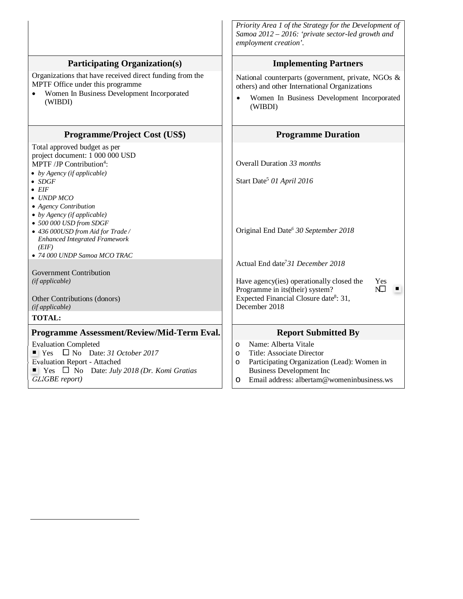|                                                                                                                                                                                                                                                                                                                                                                                                                          | Priority Area 1 of the Strategy for the Development of<br>Samoa 2012 - 2016: 'private sector-led growth and<br>employment creation'.                                                                                     |
|--------------------------------------------------------------------------------------------------------------------------------------------------------------------------------------------------------------------------------------------------------------------------------------------------------------------------------------------------------------------------------------------------------------------------|--------------------------------------------------------------------------------------------------------------------------------------------------------------------------------------------------------------------------|
| <b>Participating Organization(s)</b>                                                                                                                                                                                                                                                                                                                                                                                     | <b>Implementing Partners</b>                                                                                                                                                                                             |
| Organizations that have received direct funding from the<br>MPTF Office under this programme<br>Women In Business Development Incorporated<br>(WIBDI)                                                                                                                                                                                                                                                                    | National counterparts (government, private, NGOs &<br>others) and other International Organizations<br>Women In Business Development Incorporated<br>(WIBDI)                                                             |
| <b>Programme/Project Cost (US\$)</b>                                                                                                                                                                                                                                                                                                                                                                                     | <b>Programme Duration</b>                                                                                                                                                                                                |
| Total approved budget as per<br>project document: 1 000 000 USD<br>MPTF /JP Contribution <sup>4</sup> :<br>$\bullet$ by Agency (if applicable)<br>$\bullet$ SDGF<br>$\bullet$ EIF<br>$\bullet$ UNDP MCO<br>• Agency Contribution<br>$\bullet$ by Agency (if applicable)<br>• 500 000 USD from SDGF<br>• 436 000USD from Aid for Trade /<br><b>Enhanced Integrated Framework</b><br>(EIF)<br>• 74 000 UNDP Samoa MCO TRAC | Overall Duration 33 months<br>Start Date <sup>5</sup> 01 April 2016<br>Original End Date <sup>6</sup> 30 September 2018<br>Actual End date <sup>7</sup> 31 December 2018                                                 |
| <b>Government Contribution</b><br>(if applicable)<br>Other Contributions (donors)<br>(if applicable)<br><b>TOTAL:</b>                                                                                                                                                                                                                                                                                                    | Have agency(ies) operationally closed the<br>Yes<br>N.<br>Programme in its(their) system?<br>Expected Financial Closure date <sup>8</sup> : 31,<br>December 2018                                                         |
| Programme Assessment/Review/Mid-Term Eval.                                                                                                                                                                                                                                                                                                                                                                               | <b>Report Submitted By</b>                                                                                                                                                                                               |
| <b>Evaluation Completed</b><br>$\blacksquare$ Yes $\blacksquare$ No Date: 31 October 2017<br><b>Evaluation Report - Attached</b><br>$\blacksquare$ Yes $\square$ No Date: July 2018 (Dr. Komi Gratias<br><b>GLIGBE</b> report)                                                                                                                                                                                           | Name: Alberta Vitale<br>O<br>Title: Associate Director<br>$\circ$<br>Participating Organization (Lead): Women in<br>$\circ$<br><b>Business Development Inc</b><br>Email address: albertam@womeninbusiness.ws<br>$\Omega$ |

-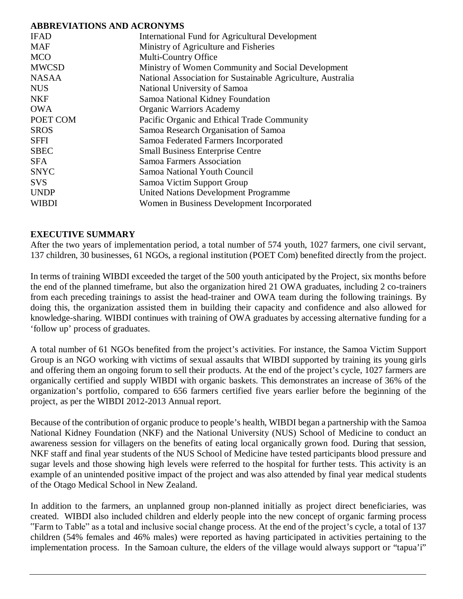## **ABBREVIATIONS AND ACRONYMS**

| <b>IFAD</b>  | International Fund for Agricultural Development             |
|--------------|-------------------------------------------------------------|
| <b>MAF</b>   | Ministry of Agriculture and Fisheries                       |
| <b>MCO</b>   | Multi-Country Office                                        |
| <b>MWCSD</b> | Ministry of Women Community and Social Development          |
| <b>NASAA</b> | National Association for Sustainable Agriculture, Australia |
| <b>NUS</b>   | National University of Samoa                                |
| <b>NKF</b>   | Samoa National Kidney Foundation                            |
| <b>OWA</b>   | <b>Organic Warriors Academy</b>                             |
| POET COM     | Pacific Organic and Ethical Trade Community                 |
| <b>SROS</b>  | Samoa Research Organisation of Samoa                        |
| <b>SFFI</b>  | Samoa Federated Farmers Incorporated                        |
| <b>SBEC</b>  | <b>Small Business Enterprise Centre</b>                     |
| <b>SFA</b>   | Samoa Farmers Association                                   |
| <b>SNYC</b>  | Samoa National Youth Council                                |
| <b>SVS</b>   | Samoa Victim Support Group                                  |
| <b>UNDP</b>  | <b>United Nations Development Programme</b>                 |
| <b>WIBDI</b> | Women in Business Development Incorporated                  |
|              |                                                             |

## **EXECUTIVE SUMMARY**

After the two years of implementation period, a total number of 574 youth, 1027 farmers, one civil servant, 137 children, 30 businesses, 61 NGOs, a regional institution (POET Com) benefited directly from the project.

In terms of training WIBDI exceeded the target of the 500 youth anticipated by the Project, six months before the end of the planned timeframe, but also the organization hired 21 OWA graduates, including 2 co-trainers from each preceding trainings to assist the head-trainer and OWA team during the following trainings. By doing this, the organization assisted them in building their capacity and confidence and also allowed for knowledge-sharing. WIBDI continues with training of OWA graduates by accessing alternative funding for a 'follow up' process of graduates.

A total number of 61 NGOs benefited from the project's activities. For instance, the Samoa Victim Support Group is an NGO working with victims of sexual assaults that WIBDI supported by training its young girls and offering them an ongoing forum to sell their products. At the end of the project's cycle, 1027 farmers are organically certified and supply WIBDI with organic baskets. This demonstrates an increase of 36% of the organization's portfolio, compared to 656 farmers certified five years earlier before the beginning of the project, as per the WIBDI 2012-2013 Annual report.

Because of the contribution of organic produce to people's health, WIBDI began a partnership with the Samoa National Kidney Foundation (NKF) and the National University (NUS) School of Medicine to conduct an awareness session for villagers on the benefits of eating local organically grown food. During that session, NKF staff and final year students of the NUS School of Medicine have tested participants blood pressure and sugar levels and those showing high levels were referred to the hospital for further tests. This activity is an example of an unintended positive impact of the project and was also attended by final year medical students of the Otago Medical School in New Zealand.

In addition to the farmers, an unplanned group non-planned initially as project direct beneficiaries, was created. WIBDI also included children and elderly people into the new concept of organic farming process "Farm to Table" as a total and inclusive social change process. At the end of the project's cycle, a total of 137 children (54% females and 46% males) were reported as having participated in activities pertaining to the implementation process. In the Samoan culture, the elders of the village would always support or "tapua'i"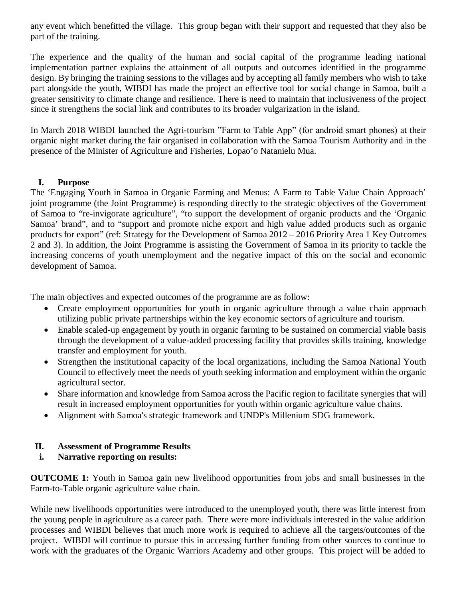any event which benefitted the village. This group began with their support and requested that they also be part of the training.

The experience and the quality of the human and social capital of the programme leading national implementation partner explains the attainment of all outputs and outcomes identified in the programme design. By bringing the training sessions to the villages and by accepting all family members who wish to take part alongside the youth, WIBDI has made the project an effective tool for social change in Samoa, built a greater sensitivity to climate change and resilience. There is need to maintain that inclusiveness of the project since it strengthens the social link and contributes to its broader vulgarization in the island.

In March 2018 WIBDI launched the Agri-tourism "Farm to Table App" (for android smart phones) at their organic night market during the fair organised in collaboration with the Samoa Tourism Authority and in the presence of the Minister of Agriculture and Fisheries, Lopao'o Natanielu Mua.

## **I. Purpose**

The 'Engaging Youth in Samoa in Organic Farming and Menus: A Farm to Table Value Chain Approach' joint programme (the Joint Programme) is responding directly to the strategic objectives of the Government of Samoa to "re-invigorate agriculture", "to support the development of organic products and the 'Organic Samoa' brand", and to "support and promote niche export and high value added products such as organic products for export" (ref: Strategy for the Development of Samoa 2012 – 2016 Priority Area 1 Key Outcomes 2 and 3). In addition, the Joint Programme is assisting the Government of Samoa in its priority to tackle the increasing concerns of youth unemployment and the negative impact of this on the social and economic development of Samoa.

The main objectives and expected outcomes of the programme are as follow:

- Create employment opportunities for youth in organic agriculture through a value chain approach utilizing public private partnerships within the key economic sectors of agriculture and tourism.
- Enable scaled-up engagement by youth in organic farming to be sustained on commercial viable basis through the development of a value-added processing facility that provides skills training, knowledge transfer and employment for youth.
- Strengthen the institutional capacity of the local organizations, including the Samoa National Youth Council to effectively meet the needs of youth seeking information and employment within the organic agricultural sector.
- Share information and knowledge from Samoa across the Pacific region to facilitate synergies that will result in increased employment opportunities for youth within organic agriculture value chains.
- Alignment with Samoa's strategic framework and UNDP's Millenium SDG framework.

## **II. Assessment of Programme Results**

## **i. Narrative reporting on results:**

**OUTCOME 1:** Youth in Samoa gain new livelihood opportunities from jobs and small businesses in the Farm-to-Table organic agriculture value chain.

While new livelihoods opportunities were introduced to the unemployed youth, there was little interest from the young people in agriculture as a career path. There were more individuals interested in the value addition processes and WIBDI believes that much more work is required to achieve all the targets/outcomes of the project. WIBDI will continue to pursue this in accessing further funding from other sources to continue to work with the graduates of the Organic Warriors Academy and other groups. This project will be added to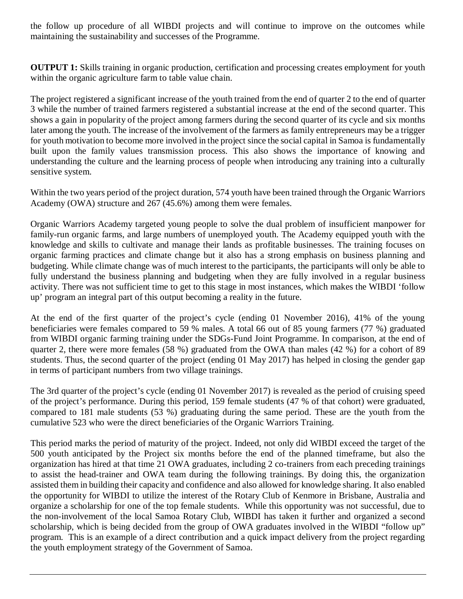the follow up procedure of all WIBDI projects and will continue to improve on the outcomes while maintaining the sustainability and successes of the Programme.

**OUTPUT 1:** Skills training in organic production, certification and processing creates employment for youth within the organic agriculture farm to table value chain.

The project registered a significant increase of the youth trained from the end of quarter 2 to the end of quarter 3 while the number of trained farmers registered a substantial increase at the end of the second quarter. This shows a gain in popularity of the project among farmers during the second quarter of its cycle and six months later among the youth. The increase of the involvement of the farmers as family entrepreneurs may be a trigger for youth motivation to become more involved in the project since the social capital in Samoa is fundamentally built upon the family values transmission process. This also shows the importance of knowing and understanding the culture and the learning process of people when introducing any training into a culturally sensitive system.

Within the two years period of the project duration, 574 youth have been trained through the Organic Warriors Academy (OWA) structure and 267 (45.6%) among them were females.

Organic Warriors Academy targeted young people to solve the dual problem of insufficient manpower for family-run organic farms, and large numbers of unemployed youth. The Academy equipped youth with the knowledge and skills to cultivate and manage their lands as profitable businesses. The training focuses on organic farming practices and climate change but it also has a strong emphasis on business planning and budgeting. While climate change was of much interest to the participants, the participants will only be able to fully understand the business planning and budgeting when they are fully involved in a regular business activity. There was not sufficient time to get to this stage in most instances, which makes the WIBDI 'follow up' program an integral part of this output becoming a reality in the future.

At the end of the first quarter of the project's cycle (ending 01 November 2016), 41% of the young beneficiaries were females compared to 59 % males. A total 66 out of 85 young farmers (77 %) graduated from WIBDI organic farming training under the SDGs-Fund Joint Programme. In comparison, at the end of quarter 2, there were more females (58 %) graduated from the OWA than males (42 %) for a cohort of 89 students. Thus, the second quarter of the project (ending 01 May 2017) has helped in closing the gender gap in terms of participant numbers from two village trainings.

The 3rd quarter of the project's cycle (ending 01 November 2017) is revealed as the period of cruising speed of the project's performance. During this period, 159 female students (47 % of that cohort) were graduated, compared to 181 male students (53 %) graduating during the same period. These are the youth from the cumulative 523 who were the direct beneficiaries of the Organic Warriors Training.

This period marks the period of maturity of the project. Indeed, not only did WIBDI exceed the target of the 500 youth anticipated by the Project six months before the end of the planned timeframe, but also the organization has hired at that time 21 OWA graduates, including 2 co-trainers from each preceding trainings to assist the head-trainer and OWA team during the following trainings. By doing this, the organization assisted them in building their capacity and confidence and also allowed for knowledge sharing. It also enabled the opportunity for WIBDI to utilize the interest of the Rotary Club of Kenmore in Brisbane, Australia and organize a scholarship for one of the top female students. While this opportunity was not successful, due to the non-involvement of the local Samoa Rotary Club, WIBDI has taken it further and organized a second scholarship, which is being decided from the group of OWA graduates involved in the WIBDI "follow up" program. This is an example of a direct contribution and a quick impact delivery from the project regarding the youth employment strategy of the Government of Samoa.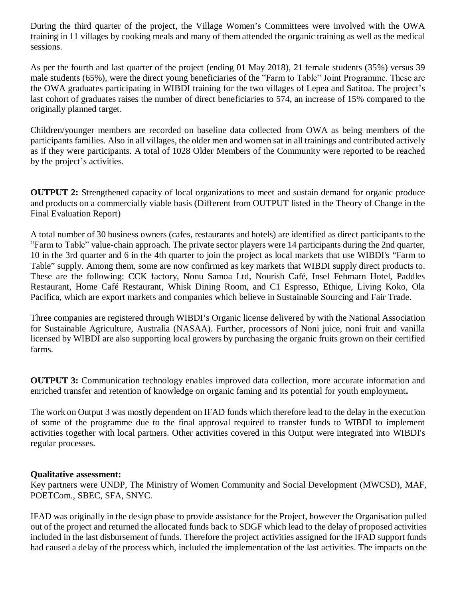During the third quarter of the project, the Village Women's Committees were involved with the OWA training in 11 villages by cooking meals and many of them attended the organic training as well as the medical sessions.

As per the fourth and last quarter of the project (ending 01 May 2018), 21 female students (35%) versus 39 male students (65%), were the direct young beneficiaries of the "Farm to Table" Joint Programme. These are the OWA graduates participating in WIBDI training for the two villages of Lepea and Satitoa. The project's last cohort of graduates raises the number of direct beneficiaries to 574, an increase of 15% compared to the originally planned target.

Children/younger members are recorded on baseline data collected from OWA as being members of the participants families. Also in all villages, the older men and women sat in all trainings and contributed actively as if they were participants. A total of 1028 Older Members of the Community were reported to be reached by the project's activities.

**OUTPUT 2:** Strengthened capacity of local organizations to meet and sustain demand for organic produce and products on a commercially viable basis (Different from OUTPUT listed in the Theory of Change in the Final Evaluation Report)

A total number of 30 business owners (cafes, restaurants and hotels) are identified as direct participants to the "Farm to Table" value-chain approach. The private sector players were 14 participants during the 2nd quarter, 10 in the 3rd quarter and 6 in the 4th quarter to join the project as local markets that use WIBDI's "Farm to Table" supply. Among them, some are now confirmed as key markets that WIBDI supply direct products to. These are the following: CCK factory, Nonu Samoa Ltd, Nourish Café, Insel Fehmarn Hotel, Paddles Restaurant, Home Café Restaurant, Whisk Dining Room, and C1 Espresso, Ethique, Living Koko, Ola Pacifica, which are export markets and companies which believe in Sustainable Sourcing and Fair Trade.

Three companies are registered through WIBDI's Organic license delivered by with the National Association for Sustainable Agriculture, Australia (NASAA). Further, processors of Noni juice, noni fruit and vanilla licensed by WIBDI are also supporting local growers by purchasing the organic fruits grown on their certified farms.

**OUTPUT 3:** Communication technology enables improved data collection, more accurate information and enriched transfer and retention of knowledge on organic faming and its potential for youth employment**.**

The work on Output 3 was mostly dependent on IFAD funds which therefore lead to the delay in the execution of some of the programme due to the final approval required to transfer funds to WIBDI to implement activities together with local partners. Other activities covered in this Output were integrated into WIBDI's regular processes.

### **Qualitative assessment:**

Key partners were UNDP, The Ministry of Women Community and Social Development (MWCSD), MAF, POETCom., SBEC, SFA, SNYC.

IFAD was originally in the design phase to provide assistance for the Project, however the Organisation pulled out of the project and returned the allocated funds back to SDGF which lead to the delay of proposed activities included in the last disbursement of funds. Therefore the project activities assigned for the IFAD support funds had caused a delay of the process which, included the implementation of the last activities. The impacts on the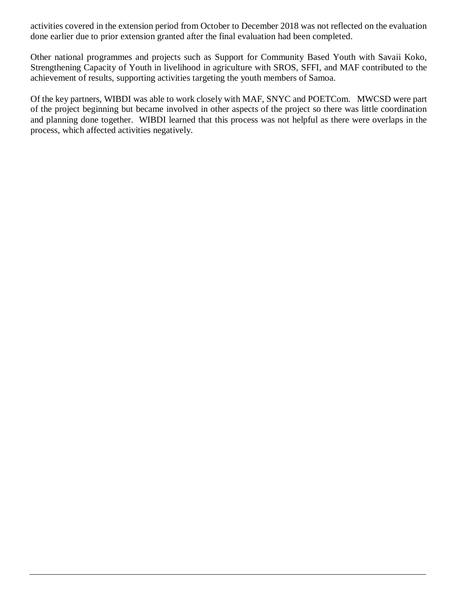activities covered in the extension period from October to December 2018 was not reflected on the evaluation done earlier due to prior extension granted after the final evaluation had been completed.

Other national programmes and projects such as Support for Community Based Youth with Savaii Koko, Strengthening Capacity of Youth in livelihood in agriculture with SROS, SFFI, and MAF contributed to the achievement of results, supporting activities targeting the youth members of Samoa.

Of the key partners, WIBDI was able to work closely with MAF, SNYC and POETCom. MWCSD were part of the project beginning but became involved in other aspects of the project so there was little coordination and planning done together. WIBDI learned that this process was not helpful as there were overlaps in the process, which affected activities negatively.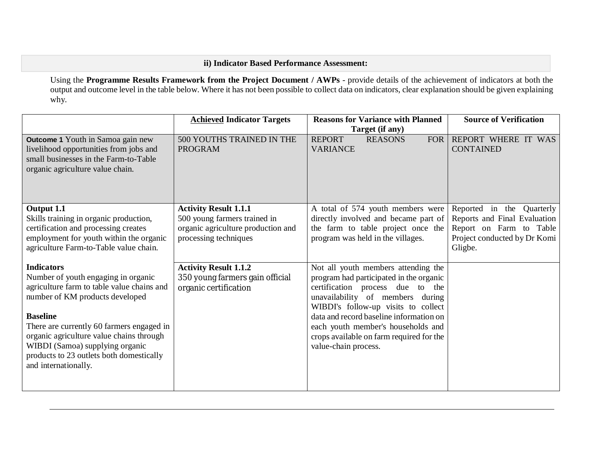## **ii) Indicator Based Performance Assessment:**

Using the **Programme Results Framework from the Project Document / AWPs** - provide details of the achievement of indicators at both the output and outcome level in the table below. Where it has not been possible to collect data on indicators, clear explanation should be given explaining why.

|                                                                                                                                                                                                                                                                                                                                                              | <b>Achieved Indicator Targets</b>                                                                                           | <b>Reasons for Variance with Planned</b><br>Target (if any)                                                                                                                                                                                                                                                                                        | <b>Source of Verification</b>                                                                                                   |
|--------------------------------------------------------------------------------------------------------------------------------------------------------------------------------------------------------------------------------------------------------------------------------------------------------------------------------------------------------------|-----------------------------------------------------------------------------------------------------------------------------|----------------------------------------------------------------------------------------------------------------------------------------------------------------------------------------------------------------------------------------------------------------------------------------------------------------------------------------------------|---------------------------------------------------------------------------------------------------------------------------------|
| <b>Outcome 1</b> Youth in Samoa gain new<br>livelihood opportunities from jobs and<br>small businesses in the Farm-to-Table<br>organic agriculture value chain.                                                                                                                                                                                              | 500 YOUTHS TRAINED IN THE<br><b>PROGRAM</b>                                                                                 | <b>REPORT</b><br><b>REASONS</b><br><b>FOR</b><br><b>VARIANCE</b>                                                                                                                                                                                                                                                                                   | REPORT WHERE IT WAS<br><b>CONTAINED</b>                                                                                         |
| Output 1.1<br>Skills training in organic production,<br>certification and processing creates<br>employment for youth within the organic<br>agriculture Farm-to-Table value chain.                                                                                                                                                                            | <b>Activity Result 1.1.1</b><br>500 young farmers trained in<br>organic agriculture production and<br>processing techniques | A total of 574 youth members were<br>directly involved and became part of<br>the farm to table project once the<br>program was held in the villages.                                                                                                                                                                                               | Reported in the Quarterly<br>Reports and Final Evaluation<br>Report on Farm to Table<br>Project conducted by Dr Komi<br>Gligbe. |
| <b>Indicators</b><br>Number of youth engaging in organic<br>agriculture farm to table value chains and<br>number of KM products developed<br><b>Baseline</b><br>There are currently 60 farmers engaged in<br>organic agriculture value chains through<br>WIBDI (Samoa) supplying organic<br>products to 23 outlets both domestically<br>and internationally. | <b>Activity Result 1.1.2</b><br>350 young farmers gain official<br>organic certification                                    | Not all youth members attending the<br>program had participated in the organic<br>certification process due to the<br>unavailability of members during<br>WIBDI's follow-up visits to collect<br>data and record baseline information on<br>each youth member's households and<br>crops available on farm required for the<br>value-chain process. |                                                                                                                                 |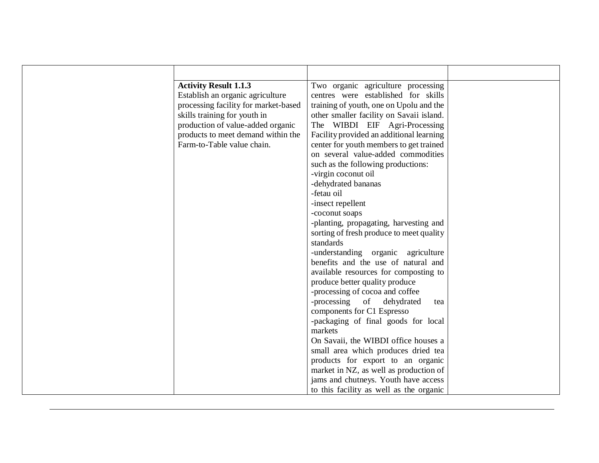| <b>Activity Result 1.1.3</b>         | Two organic agriculture processing       |  |
|--------------------------------------|------------------------------------------|--|
| Establish an organic agriculture     | centres were established for skills      |  |
| processing facility for market-based | training of youth, one on Upolu and the  |  |
| skills training for youth in         | other smaller facility on Savaii island. |  |
| production of value-added organic    | The WIBDI EIF Agri-Processing            |  |
| products to meet demand within the   | Facility provided an additional learning |  |
| Farm-to-Table value chain.           | center for youth members to get trained  |  |
|                                      | on several value-added commodities       |  |
|                                      | such as the following productions:       |  |
|                                      | -virgin coconut oil                      |  |
|                                      | -dehydrated bananas                      |  |
|                                      | -fetau oil                               |  |
|                                      | -insect repellent                        |  |
|                                      | -coconut soaps                           |  |
|                                      | -planting, propagating, harvesting and   |  |
|                                      | sorting of fresh produce to meet quality |  |
|                                      | standards                                |  |
|                                      | -understanding organic agriculture       |  |
|                                      | benefits and the use of natural and      |  |
|                                      | available resources for composting to    |  |
|                                      | produce better quality produce           |  |
|                                      | -processing of cocoa and coffee          |  |
|                                      | -processing of dehydrated<br>tea         |  |
|                                      | components for C1 Espresso               |  |
|                                      | -packaging of final goods for local      |  |
|                                      | markets                                  |  |
|                                      | On Savaii, the WIBDI office houses a     |  |
|                                      | small area which produces dried tea      |  |
|                                      | products for export to an organic        |  |
|                                      | market in NZ, as well as production of   |  |
|                                      | jams and chutneys. Youth have access     |  |
|                                      | to this facility as well as the organic  |  |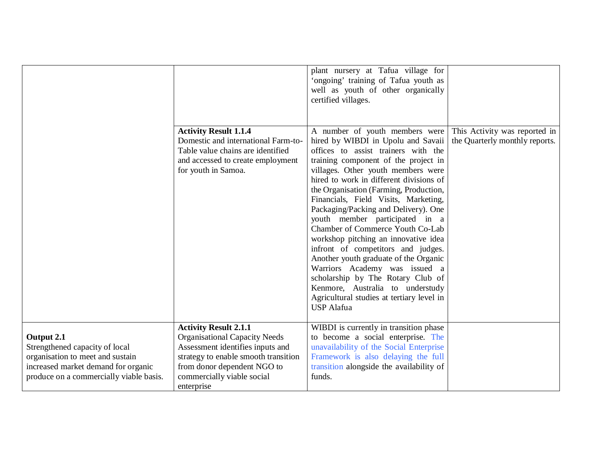|                                                                                                                                                                    | <b>Activity Result 1.1.4</b><br>Domestic and international Farm-to-<br>Table value chains are identified<br>and accessed to create employment<br>for youth in Samoa.                                                        | plant nursery at Tafua village for<br>'ongoing' training of Tafua youth as<br>well as youth of other organically<br>certified villages.<br>A number of youth members were<br>hired by WIBDI in Upolu and Savaii<br>offices to assist trainers with the<br>training component of the project in<br>villages. Other youth members were<br>hired to work in different divisions of<br>the Organisation (Farming, Production,<br>Financials, Field Visits, Marketing,<br>Packaging/Packing and Delivery). One<br>youth member participated in a<br>Chamber of Commerce Youth Co-Lab<br>workshop pitching an innovative idea<br>infront of competitors and judges. | This Activity was reported in<br>the Quarterly monthly reports. |
|--------------------------------------------------------------------------------------------------------------------------------------------------------------------|-----------------------------------------------------------------------------------------------------------------------------------------------------------------------------------------------------------------------------|---------------------------------------------------------------------------------------------------------------------------------------------------------------------------------------------------------------------------------------------------------------------------------------------------------------------------------------------------------------------------------------------------------------------------------------------------------------------------------------------------------------------------------------------------------------------------------------------------------------------------------------------------------------|-----------------------------------------------------------------|
|                                                                                                                                                                    |                                                                                                                                                                                                                             | Another youth graduate of the Organic<br>Warriors Academy was issued a<br>scholarship by The Rotary Club of<br>Kenmore, Australia to understudy<br>Agricultural studies at tertiary level in<br><b>USP</b> Alafua                                                                                                                                                                                                                                                                                                                                                                                                                                             |                                                                 |
| Output 2.1<br>Strengthened capacity of local<br>organisation to meet and sustain<br>increased market demand for organic<br>produce on a commercially viable basis. | <b>Activity Result 2.1.1</b><br><b>Organisational Capacity Needs</b><br>Assessment identifies inputs and<br>strategy to enable smooth transition<br>from donor dependent NGO to<br>commercially viable social<br>enterprise | WIBDI is currently in transition phase<br>to become a social enterprise. The<br>unavailability of the Social Enterprise<br>Framework is also delaying the full<br>transition alongside the availability of<br>funds.                                                                                                                                                                                                                                                                                                                                                                                                                                          |                                                                 |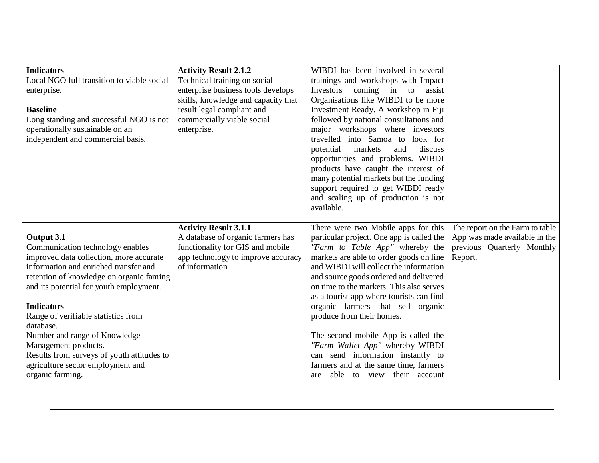| <b>Indicators</b>                                | <b>Activity Result 2.1.2</b>        | WIBDI has been involved in several                             |                                 |
|--------------------------------------------------|-------------------------------------|----------------------------------------------------------------|---------------------------------|
| Local NGO full transition to viable social       | Technical training on social        | trainings and workshops with Impact                            |                                 |
| enterprise.                                      | enterprise business tools develops  | Investors coming in to assist                                  |                                 |
|                                                  | skills, knowledge and capacity that | Organisations like WIBDI to be more                            |                                 |
| <b>Baseline</b>                                  | result legal compliant and          | Investment Ready. A workshop in Fiji                           |                                 |
| Long standing and successful NGO is not          | commercially viable social          | followed by national consultations and                         |                                 |
| operationally sustainable on an                  | enterprise.                         | major workshops where investors                                |                                 |
| independent and commercial basis.                |                                     | travelled into Samoa to look for                               |                                 |
|                                                  |                                     | potential<br>markets<br>discuss<br>and                         |                                 |
|                                                  |                                     | opportunities and problems. WIBDI                              |                                 |
|                                                  |                                     | products have caught the interest of                           |                                 |
|                                                  |                                     | many potential markets but the funding                         |                                 |
|                                                  |                                     | support required to get WIBDI ready                            |                                 |
|                                                  |                                     | and scaling up of production is not                            |                                 |
|                                                  |                                     | available.                                                     |                                 |
|                                                  | <b>Activity Result 3.1.1</b>        |                                                                |                                 |
|                                                  |                                     |                                                                |                                 |
|                                                  |                                     | There were two Mobile apps for this                            | The report on the Farm to table |
| Output 3.1                                       | A database of organic farmers has   | particular project. One app is called the                      | App was made available in the   |
| Communication technology enables                 | functionality for GIS and mobile    | "Farm to Table App" whereby the                                | previous Quarterly Monthly      |
| improved data collection, more accurate          | app technology to improve accuracy  | markets are able to order goods on line                        | Report.                         |
| information and enriched transfer and            | of information                      | and WIBDI will collect the information                         |                                 |
| retention of knowledge on organic faming         |                                     | and source goods ordered and delivered                         |                                 |
| and its potential for youth employment.          |                                     | on time to the markets. This also serves                       |                                 |
| <b>Indicators</b>                                |                                     | as a tourist app where tourists can find                       |                                 |
|                                                  |                                     | organic farmers that sell organic<br>produce from their homes. |                                 |
| Range of verifiable statistics from<br>database. |                                     |                                                                |                                 |
| Number and range of Knowledge                    |                                     | The second mobile App is called the                            |                                 |
| Management products.                             |                                     | "Farm Wallet App" whereby WIBDI                                |                                 |
| Results from surveys of youth attitudes to       |                                     | can send information instantly to                              |                                 |
| agriculture sector employment and                |                                     | farmers and at the same time, farmers                          |                                 |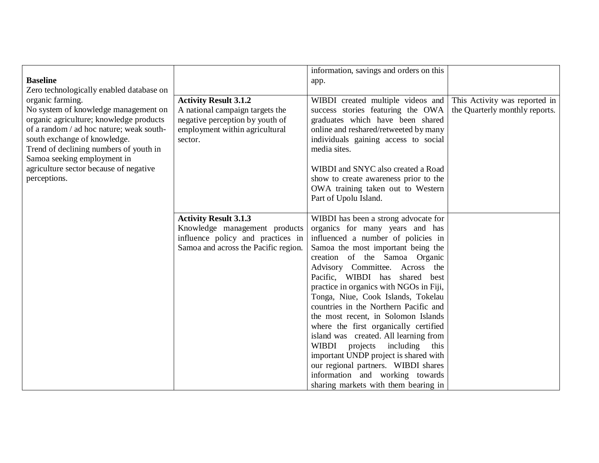|                                          |                                                                                                                                            | information, savings and orders on this                                                                                                                                                                                                                                                                                                                                                                                                                                                                                                                                                                                                                                                                                                |                                |
|------------------------------------------|--------------------------------------------------------------------------------------------------------------------------------------------|----------------------------------------------------------------------------------------------------------------------------------------------------------------------------------------------------------------------------------------------------------------------------------------------------------------------------------------------------------------------------------------------------------------------------------------------------------------------------------------------------------------------------------------------------------------------------------------------------------------------------------------------------------------------------------------------------------------------------------------|--------------------------------|
| <b>Baseline</b>                          |                                                                                                                                            | app.                                                                                                                                                                                                                                                                                                                                                                                                                                                                                                                                                                                                                                                                                                                                   |                                |
| Zero technologically enabled database on |                                                                                                                                            |                                                                                                                                                                                                                                                                                                                                                                                                                                                                                                                                                                                                                                                                                                                                        |                                |
| organic farming.                         | <b>Activity Result 3.1.2</b>                                                                                                               | WIBDI created multiple videos and                                                                                                                                                                                                                                                                                                                                                                                                                                                                                                                                                                                                                                                                                                      | This Activity was reported in  |
| No system of knowledge management on     | A national campaign targets the                                                                                                            | success stories featuring the OWA                                                                                                                                                                                                                                                                                                                                                                                                                                                                                                                                                                                                                                                                                                      | the Quarterly monthly reports. |
| organic agriculture; knowledge products  | negative perception by youth of                                                                                                            | graduates which have been shared                                                                                                                                                                                                                                                                                                                                                                                                                                                                                                                                                                                                                                                                                                       |                                |
| of a random / ad hoc nature; weak south- | employment within agricultural                                                                                                             | online and reshared/retweeted by many                                                                                                                                                                                                                                                                                                                                                                                                                                                                                                                                                                                                                                                                                                  |                                |
| south exchange of knowledge.             | sector.                                                                                                                                    | individuals gaining access to social                                                                                                                                                                                                                                                                                                                                                                                                                                                                                                                                                                                                                                                                                                   |                                |
| Trend of declining numbers of youth in   |                                                                                                                                            | media sites.                                                                                                                                                                                                                                                                                                                                                                                                                                                                                                                                                                                                                                                                                                                           |                                |
| Samoa seeking employment in              |                                                                                                                                            |                                                                                                                                                                                                                                                                                                                                                                                                                                                                                                                                                                                                                                                                                                                                        |                                |
| agriculture sector because of negative   |                                                                                                                                            | WIBDI and SNYC also created a Road                                                                                                                                                                                                                                                                                                                                                                                                                                                                                                                                                                                                                                                                                                     |                                |
| perceptions.                             |                                                                                                                                            | show to create awareness prior to the                                                                                                                                                                                                                                                                                                                                                                                                                                                                                                                                                                                                                                                                                                  |                                |
|                                          |                                                                                                                                            | OWA training taken out to Western                                                                                                                                                                                                                                                                                                                                                                                                                                                                                                                                                                                                                                                                                                      |                                |
|                                          |                                                                                                                                            |                                                                                                                                                                                                                                                                                                                                                                                                                                                                                                                                                                                                                                                                                                                                        |                                |
|                                          |                                                                                                                                            |                                                                                                                                                                                                                                                                                                                                                                                                                                                                                                                                                                                                                                                                                                                                        |                                |
|                                          |                                                                                                                                            |                                                                                                                                                                                                                                                                                                                                                                                                                                                                                                                                                                                                                                                                                                                                        |                                |
|                                          |                                                                                                                                            |                                                                                                                                                                                                                                                                                                                                                                                                                                                                                                                                                                                                                                                                                                                                        |                                |
|                                          |                                                                                                                                            |                                                                                                                                                                                                                                                                                                                                                                                                                                                                                                                                                                                                                                                                                                                                        |                                |
|                                          |                                                                                                                                            |                                                                                                                                                                                                                                                                                                                                                                                                                                                                                                                                                                                                                                                                                                                                        |                                |
|                                          |                                                                                                                                            |                                                                                                                                                                                                                                                                                                                                                                                                                                                                                                                                                                                                                                                                                                                                        |                                |
|                                          |                                                                                                                                            |                                                                                                                                                                                                                                                                                                                                                                                                                                                                                                                                                                                                                                                                                                                                        |                                |
|                                          |                                                                                                                                            |                                                                                                                                                                                                                                                                                                                                                                                                                                                                                                                                                                                                                                                                                                                                        |                                |
|                                          |                                                                                                                                            |                                                                                                                                                                                                                                                                                                                                                                                                                                                                                                                                                                                                                                                                                                                                        |                                |
|                                          |                                                                                                                                            |                                                                                                                                                                                                                                                                                                                                                                                                                                                                                                                                                                                                                                                                                                                                        |                                |
|                                          |                                                                                                                                            |                                                                                                                                                                                                                                                                                                                                                                                                                                                                                                                                                                                                                                                                                                                                        |                                |
|                                          |                                                                                                                                            |                                                                                                                                                                                                                                                                                                                                                                                                                                                                                                                                                                                                                                                                                                                                        |                                |
|                                          |                                                                                                                                            |                                                                                                                                                                                                                                                                                                                                                                                                                                                                                                                                                                                                                                                                                                                                        |                                |
|                                          |                                                                                                                                            |                                                                                                                                                                                                                                                                                                                                                                                                                                                                                                                                                                                                                                                                                                                                        |                                |
|                                          |                                                                                                                                            |                                                                                                                                                                                                                                                                                                                                                                                                                                                                                                                                                                                                                                                                                                                                        |                                |
|                                          |                                                                                                                                            |                                                                                                                                                                                                                                                                                                                                                                                                                                                                                                                                                                                                                                                                                                                                        |                                |
|                                          |                                                                                                                                            |                                                                                                                                                                                                                                                                                                                                                                                                                                                                                                                                                                                                                                                                                                                                        |                                |
|                                          |                                                                                                                                            |                                                                                                                                                                                                                                                                                                                                                                                                                                                                                                                                                                                                                                                                                                                                        |                                |
|                                          | <b>Activity Result 3.1.3</b><br>Knowledge management products<br>influence policy and practices in<br>Samoa and across the Pacific region. | Part of Upolu Island.<br>WIBDI has been a strong advocate for<br>organics for many years and has<br>influenced a number of policies in<br>Samoa the most important being the<br>creation of the Samoa Organic<br>Advisory Committee. Across the<br>Pacific, WIBDI has shared best<br>practice in organics with NGOs in Fiji,<br>Tonga, Niue, Cook Islands, Tokelau<br>countries in the Northern Pacific and<br>the most recent, in Solomon Islands<br>where the first organically certified<br>island was created. All learning from<br>WIBDI projects<br>including<br>this<br>important UNDP project is shared with<br>our regional partners. WIBDI shares<br>information and working towards<br>sharing markets with them bearing in |                                |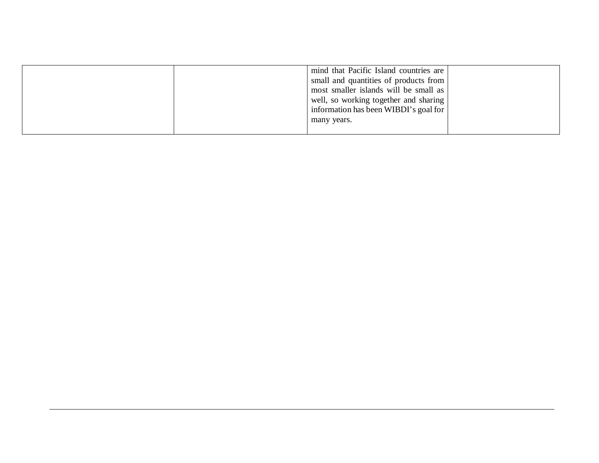|  | mind that Pacific Island countries are<br>small and quantities of products from<br>most smaller islands will be small as<br>well, so working together and sharing<br>information has been WIBDI's goal for |  |
|--|------------------------------------------------------------------------------------------------------------------------------------------------------------------------------------------------------------|--|
|  | many years.                                                                                                                                                                                                |  |
|  |                                                                                                                                                                                                            |  |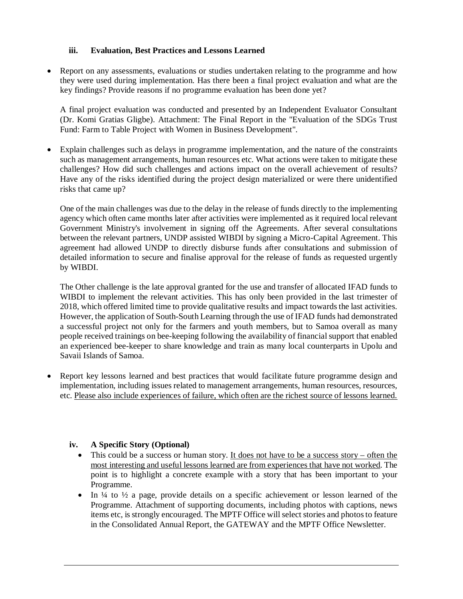### **iii. Evaluation, Best Practices and Lessons Learned**

 Report on any assessments, evaluations or studies undertaken relating to the programme and how they were used during implementation. Has there been a final project evaluation and what are the key findings? Provide reasons if no programme evaluation has been done yet?

A final project evaluation was conducted and presented by an Independent Evaluator Consultant (Dr. Komi Gratias Gligbe). Attachment: The Final Report in the "Evaluation of the SDGs Trust Fund: Farm to Table Project with Women in Business Development".

 Explain challenges such as delays in programme implementation, and the nature of the constraints such as management arrangements, human resources etc. What actions were taken to mitigate these challenges? How did such challenges and actions impact on the overall achievement of results? Have any of the risks identified during the project design materialized or were there unidentified risks that came up?

One of the main challenges was due to the delay in the release of funds directly to the implementing agency which often came months later after activities were implemented as it required local relevant Government Ministry's involvement in signing off the Agreements. After several consultations between the relevant partners, UNDP assisted WIBDI by signing a Micro-Capital Agreement. This agreement had allowed UNDP to directly disburse funds after consultations and submission of detailed information to secure and finalise approval for the release of funds as requested urgently by WIBDI.

The Other challenge is the late approval granted for the use and transfer of allocated IFAD funds to WIBDI to implement the relevant activities. This has only been provided in the last trimester of 2018, which offered limited time to provide qualitative results and impact towards the last activities. However, the application of South-South Learning through the use of IFAD funds had demonstrated a successful project not only for the farmers and youth members, but to Samoa overall as many people received trainings on bee-keeping following the availability of financial support that enabled an experienced bee-keeper to share knowledge and train as many local counterparts in Upolu and Savaii Islands of Samoa.

• Report key lessons learned and best practices that would facilitate future programme design and implementation, including issues related to management arrangements, human resources, resources, etc. Please also include experiences of failure, which often are the richest source of lessons learned.

### **iv. A Specific Story (Optional)**

- This could be a success or human story. It does not have to be a success story often the most interesting and useful lessons learned are from experiences that have not worked. The point is to highlight a concrete example with a story that has been important to your Programme.
- In  $\frac{1}{4}$  to  $\frac{1}{2}$  a page, provide details on a specific achievement or lesson learned of the Programme. Attachment of supporting documents, including photos with captions, news items etc, is strongly encouraged. The MPTF Office will select stories and photos to feature in the Consolidated Annual Report, the GATEWAY and the MPTF Office Newsletter.